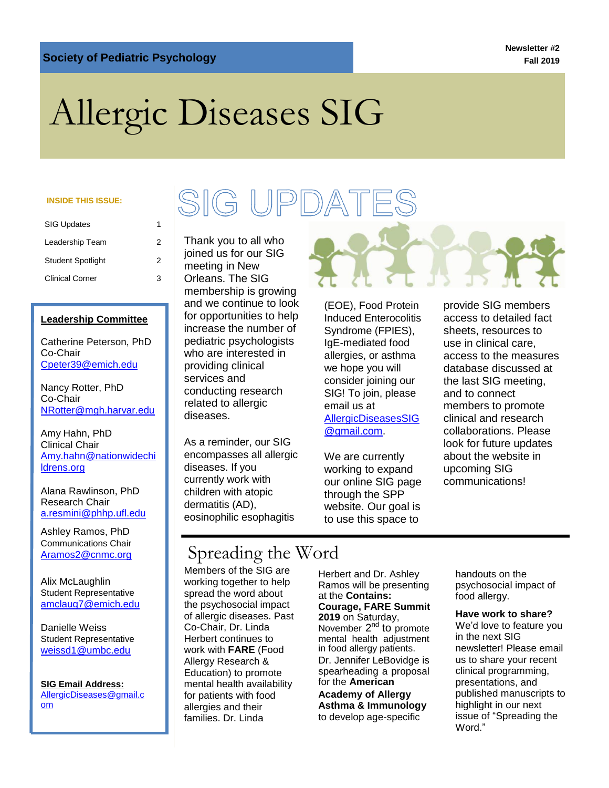**Newsletter #2 Fall 2019**

# Allergic Diseases SIG

#### **INSIDE THIS ISSUE:**

| <b>SIG Updates</b>       |   |
|--------------------------|---|
| Leadership Team          | 2 |
| <b>Student Spotlight</b> | 2 |
| <b>Clinical Corner</b>   | з |

#### **Leadership Committee**

Catherine Peterson, PhD Co-Chair [Cpeter39@emich.edu](mailto:Cpeter39@emich.edu)

Nancy Rotter, PhD Co-Chair [NRotter@mgh.harvar.edu](mailto:NRotter@mgh.harvar.edu)

Amy Hahn, PhD Clinical Chair [Amy.hahn@nationwidechi](mailto:Amy.hahn@nationwidechildrens.org) [ldrens.org](mailto:Amy.hahn@nationwidechildrens.org)

Alana Rawlinson, PhD Research Chair [a.resmini@phhp.ufl.edu](mailto:a.resmini@phhp.ufl.edu)

Ashley Ramos, PhD Communications Chair

Alix McLaughlin Student Representative [amclaug7@emich.edu](mailto:amclaug7@emich.edu)

Danielle Weiss Student Representative [weissd1@umbc.edu](mailto:weissd1@umbc.edu)

**SIG Email Address:**  [AllergicDiseases@gmail.c](mailto:AllergicDiseases@gmail.com) [om](mailto:AllergicDiseases@gmail.com)

## SIG UPDATES

Thank you to all who joined us for our SIG meeting in New Orleans. The SIG membership is growing and we continue to look for opportunities to help increase the number of pediatric psychologists who are interested in providing clinical services and conducting research related to allergic diseases.

As a reminder, our SIG encompasses all allergic diseases. If you currently work with children with atopic dermatitis (AD), eosinophilic esophagitis

(EOE), Food Protein Induced Enterocolitis Syndrome (FPIES), IgE-mediated food allergies, or asthma we hope you will consider joining our SIG! To join, please email us at [AllergicDiseasesSIG](mailto:AllergicDiseasesSIG@gmail.com) [@gmail.com.](mailto:AllergicDiseasesSIG@gmail.com)

We are currently working to expand our online SIG page through the SPP website. Our goal is to use this space to

provide SIG members access to detailed fact sheets, resources to use in clinical care, access to the measures database discussed at the last SIG meeting, and to connect members to promote clinical and research collaborations. Please look for future updates about the website in upcoming SIG communications!

## [Aramos2@cnmc.org](mailto:Aramos2@cnmc.org) | Spreading the Word

Members of the SIG are working together to help spread the word about the psychosocial impact of allergic diseases. Past Co-Chair, Dr. Linda Herbert continues to work with **FARE** (Food Allergy Research & Education) to promote mental health availability for patients with food allergies and their families. Dr. Linda

Herbert and Dr. Ashley Ramos will be presenting at the **Contains: Courage, FARE Summit 2019** on Saturday, November  $2^{nd}$  to promote mental health adjustment in food allergy patients. Dr. Jennifer LeBovidge is spearheading a proposal for the **American Academy of Allergy Asthma & Immunology** to develop age-specific

handouts on the psychosocial impact of food allergy.

#### **Have work to share?**

We'd love to feature you in the next SIG newsletter! Please email us to share your recent clinical programming, presentations, and published manuscripts to highlight in our next issue of "Spreading the Word."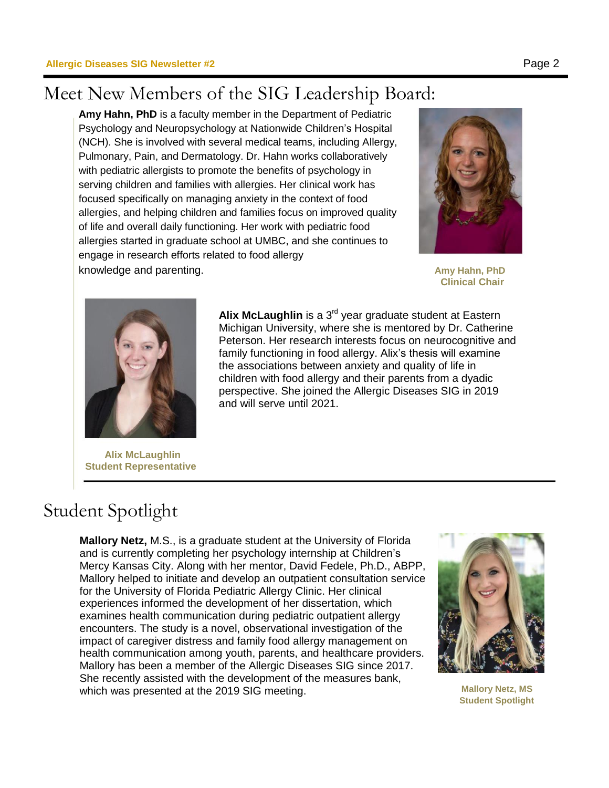## Meet New Members of the SIG Leadership Board:

**Amy Hahn, PhD** is a faculty member in the Department of Pediatric Psychology and Neuropsychology at Nationwide Children's Hospital (NCH). She is involved with several medical teams, including Allergy, Pulmonary, Pain, and Dermatology. Dr. Hahn works collaboratively with pediatric allergists to promote the benefits of psychology in serving children and families with allergies. Her clinical work has focused specifically on managing anxiety in the context of food allergies, and helping children and families focus on improved quality of life and overall daily functioning. Her work with pediatric food allergies started in graduate school at UMBC, and she continues to engage in research efforts related to food allergy

knowledge and parenting. **Amy Hahn, PhD** and parenting.



**Clinical Chair**



 **Alix McLaughlin Student Representative**

Alix McLaughlin is a 3<sup>rd</sup> year graduate student at Eastern Michigan University, where she is mentored by Dr. Catherine Peterson. Her research interests focus on neurocognitive and family functioning in food allergy. Alix's thesis will examine the associations between anxiety and quality of life in children with food allergy and their parents from a dyadic perspective. She joined the Allergic Diseases SIG in 2019 and will serve until 2021.

## Student Spotlight

**Mallory Netz,** M.S., is a graduate student at the University of Florida and is currently completing her psychology internship at Children's Mercy Kansas City. Along with her mentor, David Fedele, Ph.D., ABPP, Mallory helped to initiate and develop an outpatient consultation service for the University of Florida Pediatric Allergy Clinic. Her clinical experiences informed the development of her dissertation, which examines health communication during pediatric outpatient allergy encounters. The study is a novel, observational investigation of the impact of caregiver distress and family food allergy management on health communication among youth, parents, and healthcare providers. Mallory has been a member of the Allergic Diseases SIG since 2017. She recently assisted with the development of the measures bank, which was presented at the 2019 SIG meeting. **Mallory Netz, MS** 



**Student Spotlight**